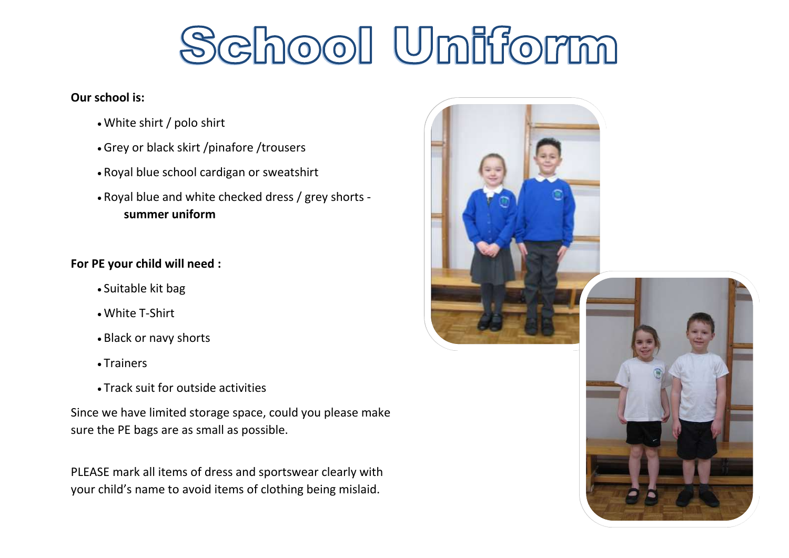## School Uniform

## **Our school is:**

- White shirt / polo shirt
- Grey or black skirt /pinafore /trousers
- Royal blue school cardigan or sweatshirt
- Royal blue and white checked dress / grey shorts **summer uniform**

## **For PE your child will need :**

- Suitable kit bag
- White T-Shirt
- Black or navy shorts
- Trainers
- Track suit for outside activities

Since we have limited storage space, could you please make sure the PE bags are as small as possible.

PLEASE mark all items of dress and sportswear clearly with your child's name to avoid items of clothing being mislaid.